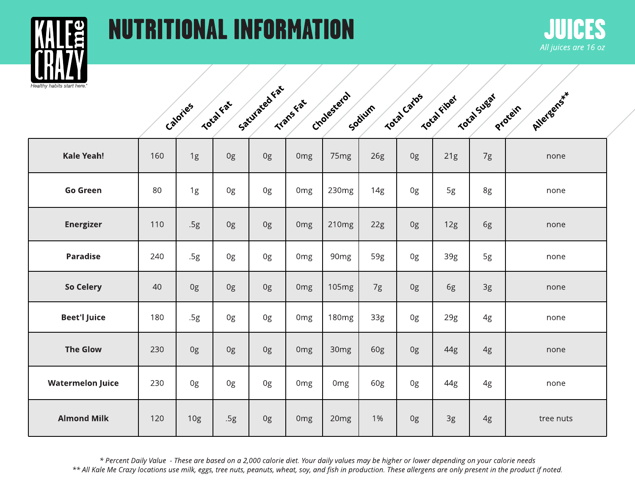



|  | Calories | Total Fat | Saturated Fat | Transfat | Cholesterol | Socium | Total Carbs | Total Fiber | Total Sugat | Allergens<br><b>Protein</b> |  |
|--|----------|-----------|---------------|----------|-------------|--------|-------------|-------------|-------------|-----------------------------|--|
|  |          |           |               |          |             |        |             |             |             |                             |  |

| <b>Kale Yeah!</b>       | 160 | 1g  | 0g  | 0g | 0 <sub>mg</sub> | 75 <sub>mg</sub>  | 26g | 0g | 21g | 7g | none      |
|-------------------------|-----|-----|-----|----|-----------------|-------------------|-----|----|-----|----|-----------|
| <b>Go Green</b>         | 80  | 1g  | 0g  | 0g | 0 <sub>mg</sub> | 230mg             | 14g | 0g | 5g  | 8g | none      |
| <b>Energizer</b>        | 110 | .5g | 0g  | 0g | 0 <sub>mg</sub> | 210mg             | 22g | 0g | 12g | 6g | none      |
| <b>Paradise</b>         | 240 | .5g | 0g  | 0g | 0 <sub>mg</sub> | 90 <sub>mg</sub>  | 59g | 0g | 39g | 5g | none      |
| So Celery               | 40  | 0g  | 0g  | 0g | 0 <sub>mg</sub> | 105mg             | 7g  | 0g | 6g  | 3g | none      |
| <b>Beet'l Juice</b>     | 180 | .5g | 0g  | 0g | 0 <sub>mg</sub> | 180 <sub>mg</sub> | 33g | 0g | 29g | 4g | none      |
| <b>The Glow</b>         | 230 | 0g  | 0g  | 0g | 0 <sub>mg</sub> | 30 <sub>mg</sub>  | 60g | 0g | 44g | 4g | none      |
| <b>Watermelon Juice</b> | 230 | 0g  | 0g  | 0g | 0 <sub>mg</sub> | Omg               | 60g | 0g | 44g | 4g | none      |
| <b>Almond Milk</b>      | 120 | 10g | .5g | 0g | 0 <sub>mg</sub> | 20 <sub>mg</sub>  | 1%  | 0g | 3g  | 4g | tree nuts |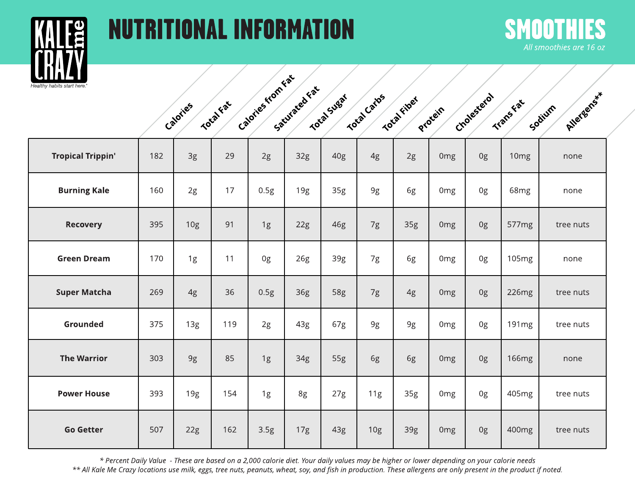

# NUTRITIONALINFORMATION SMOOTHIES



|                       | Calories from Eat<br>Saturated Fat |                                               |                         |                     |
|-----------------------|------------------------------------|-----------------------------------------------|-------------------------|---------------------|
| Total Fat<br>Calories | Total Sugat                        | Total Carlos<br>Total fiber<br><b>Protein</b> | Cholesterol<br>Transfat | Allergens<br>Sodium |
|                       |                                    |                                               |                         |                     |

| <b>Tropical Trippin'</b> | 182 | 3g              | 29  | 2g   | 32g | 40 <sub>g</sub> | 4g              | 2g  | 0 <sub>mg</sub> | 0g | 10mg              | none      |
|--------------------------|-----|-----------------|-----|------|-----|-----------------|-----------------|-----|-----------------|----|-------------------|-----------|
| <b>Burning Kale</b>      | 160 | 2g              | 17  | 0.5g | 19g | 35g             | 9g              | 6g  | 0 <sub>mg</sub> | 0g | 68 <sub>mg</sub>  | none      |
| <b>Recovery</b>          | 395 | 10 <sub>g</sub> | 91  | 1g   | 22g | 46g             | 7g              | 35g | 0 <sub>mg</sub> | 0g | 577mg             | tree nuts |
| <b>Green Dream</b>       | 170 | 1g              | 11  | 0g   | 26g | 39g             | 7g              | 6g  | 0 <sub>mg</sub> | 0g | 105 <sub>mg</sub> | none      |
| <b>Super Matcha</b>      | 269 | 4g              | 36  | 0.5g | 36g | 58g             | 7g              | 4g  | 0 <sub>mg</sub> | 0g | 226mg             | tree nuts |
| Grounded                 | 375 | 13g             | 119 | 2g   | 43g | 67g             | 9g              | 9g  | 0 <sub>mg</sub> | 0g | 191mg             | tree nuts |
| <b>The Warrior</b>       | 303 | 9g              | 85  | 1g   | 34g | 55g             | 6g              | 6g  | 0 <sub>mg</sub> | 0g | <b>166mg</b>      | none      |
| <b>Power House</b>       | 393 | 19g             | 154 | 1g   | 8g  | 27g             | 11g             | 35g | 0 <sub>mg</sub> | 0g | 405mg             | tree nuts |
| <b>Go Getter</b>         | 507 | 22g             | 162 | 3.5g | 17g | 43g             | 10 <sub>g</sub> | 39g | 0 <sub>mg</sub> | 0g | 400mg             | tree nuts |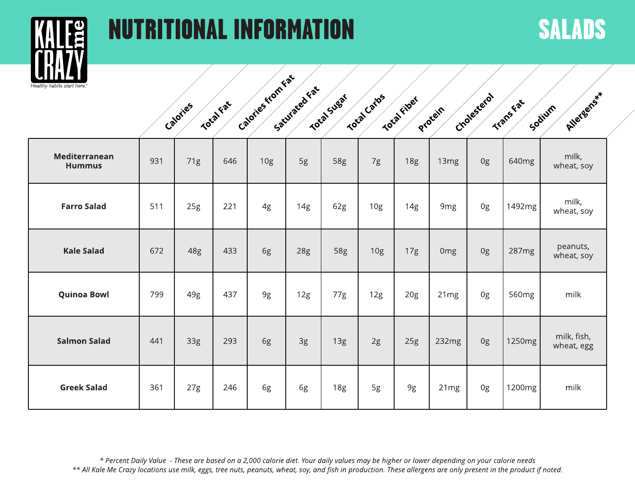# NUTRITIONALINFORMATION SALADS



| Calories from Eat     |                                              |                               |                         |                      |  |
|-----------------------|----------------------------------------------|-------------------------------|-------------------------|----------------------|--|
| Total Fat<br>Calories | Saturated Fat<br>Total Carlos<br>Total Sugar | Total fiber<br><b>Protein</b> | Cholesterol<br>Transfat | Atlergens*<br>Sodium |  |
|                       |                                              |                               |                         |                      |  |

| Mediterranean<br><b>Hummus</b> | 931 | 71g | 646 | 10g | 5g  | 58g | 7g              | <b>18g</b> | 13 <sub>mg</sub> | 0g | 640mg  | milk,<br>wheat, soy       |
|--------------------------------|-----|-----|-----|-----|-----|-----|-----------------|------------|------------------|----|--------|---------------------------|
| <b>Farro Salad</b>             | 511 | 25g | 221 | 4g  | 14g | 62g | 10 <sub>g</sub> | 14g        | 9mg              | 0g | 1492mg | milk,<br>wheat, soy       |
| <b>Kale Salad</b>              | 672 | 48g | 433 | 6g  | 28g | 58g | 10 <sub>g</sub> | 17g        | <b>Omg</b>       | 0g | 287mg  | peanuts,<br>wheat, soy    |
| <b>Quinoa Bowl</b>             | 799 | 49g | 437 | 9g  | 12g | 77g | 12g             | 20g        | 21mg             | 0g | 560mg  | milk                      |
| <b>Salmon Salad</b>            | 441 | 33g | 293 | 6g  | 3g  | 13g | 2g              | 25g        | 232mg            | 0g | 1250mg | milk, fish,<br>wheat, egg |
| <b>Greek Salad</b>             | 361 | 27g | 246 | 6g  | 6g  | 18g | 5g              | 9g         | 21mg             | 0g | 1200mg | milk                      |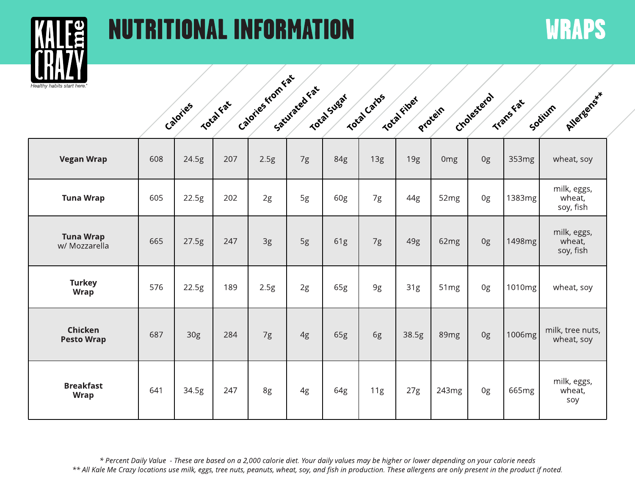# NUTRITIONALINFORMATION WRAPS



Trans Fat Cholesterol Protein **Total Fiber** Total Carbs Total Sugar Saturacea Fat Calories from Fat **Total** Fat Calories Allergens \*\* Sodium

| <b>Vegan Wrap</b>                 | 608 | 24.5g | 207 | 2.5g | 7g | 84g | 13g | 19g   | 0 <sub>mg</sub>  | 0g | 353mg  | wheat, soy                         |
|-----------------------------------|-----|-------|-----|------|----|-----|-----|-------|------------------|----|--------|------------------------------------|
| <b>Tuna Wrap</b>                  | 605 | 22.5g | 202 | 2g   | 5g | 60g | 7g  | 44g   | 52mg             | 0g | 1383mg | milk, eggs,<br>wheat,<br>soy, fish |
| <b>Tuna Wrap</b><br>w/ Mozzarella | 665 | 27.5g | 247 | 3g   | 5g | 61g | 7g  | 49g   | 62mg             | 0g | 1498mg | milk, eggs,<br>wheat,<br>soy, fish |
| <b>Turkey</b><br>Wrap             | 576 | 22.5g | 189 | 2.5g | 2g | 65g | 9g  | 31g   | 51 <sub>mg</sub> | 0g | 1010mg | wheat, soy                         |
| Chicken<br><b>Pesto Wrap</b>      | 687 | 30g   | 284 | 7g   | 4g | 65g | 6g  | 38.5g | 89mg             | 0g | 1006mg | milk, tree nuts,<br>wheat, soy     |
| <b>Breakfast</b><br><b>Wrap</b>   | 641 | 34.5g | 247 | 8g   | 4g | 64g | 11g | 27g   | 243mg            | 0g | 665mg  | milk, eggs,<br>wheat,<br>soy       |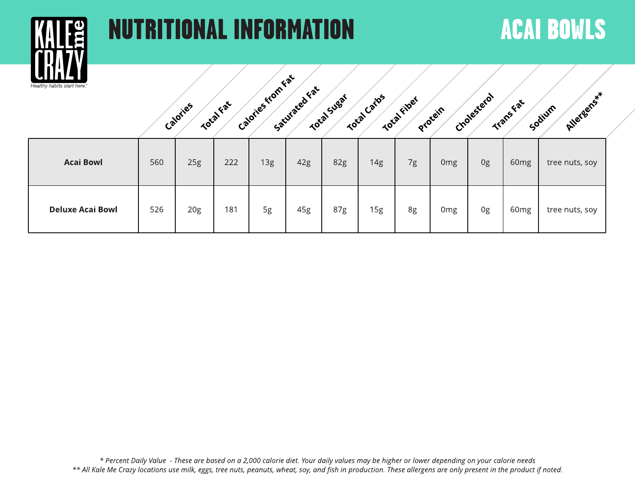

## NUTRITIONAL INFORMATION ACAI BOWLS



| <b>Acai Bowl</b>        | 560 | 25g | 222 | 13g | 42g | 82g | 14g | 7g | 0 <sub>mg</sub> | 0g | 60 <sub>mg</sub> | tree nuts, soy |
|-------------------------|-----|-----|-----|-----|-----|-----|-----|----|-----------------|----|------------------|----------------|
| <b>Deluxe Acai Bowl</b> | 526 | 20g | 181 | 5g  | 45g | 87g | 15g | 8g | 0 <sub>mg</sub> | 0g | 60 <sub>mg</sub> | tree nuts, soy |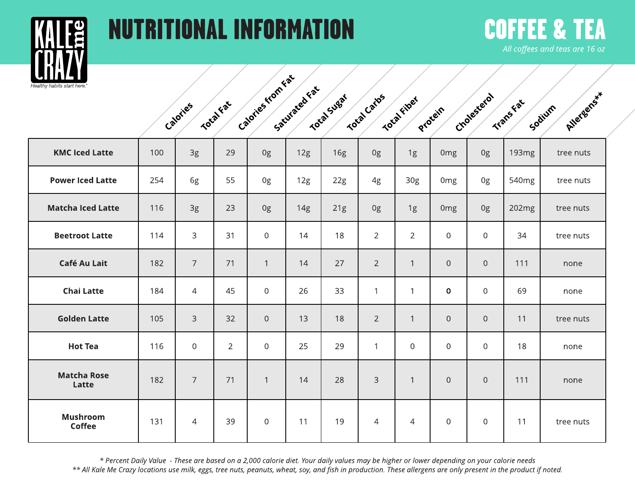

Mushroom Coffee

## NUTRITIONAL INFORMATION COFFEE &

# **All coffeesand teasare16 oz**

| lival<br>habits start here. |     |                  |                |                   |               |             |                |                 |                  |                  |                   |                       |
|-----------------------------|-----|------------------|----------------|-------------------|---------------|-------------|----------------|-----------------|------------------|------------------|-------------------|-----------------------|
|                             |     | Calories         | Total Fat      | Calgries from Fat | Saturated Fax | Total Sugat | Total Cartos   | Total fiber     | Protein          | Crolesterol      | Transkat          | Allergens**<br>Sodium |
| <b>KMC Iced Latte</b>       | 100 | 3g               | 29             | 0g                | 12g           | 16g         | 0g             | 1g              | 0 <sub>mg</sub>  | 0g               | 193 <sub>mg</sub> | tree nuts             |
| <b>Power Iced Latte</b>     | 254 | 6g               | 55             | 0g                | 12g           | 22g         | 4g             | 30 <sub>g</sub> | 0 <sub>mg</sub>  | 0g               | 540 <sub>mg</sub> | tree nuts             |
| <b>Matcha Iced Latte</b>    | 116 | 3g               | 23             | 0g                | 14g           | 21g         | 0g             | 1g              | 0 <sub>mg</sub>  | 0g               | 202mg             | tree nuts             |
| <b>Beetroot Latte</b>       | 114 | 3                | 31             | $\overline{0}$    | 14            | 18          | $\overline{2}$ | $\overline{2}$  | $\overline{0}$   | $\overline{0}$   | 34                | tree nuts             |
| <b>Café Au Lait</b>         | 182 | $\overline{7}$   | 71             | $\mathbf{1}$      | 14            | 27          | $\overline{2}$ | $\mathbf{1}$    | $\overline{0}$   | $\mathbf 0$      | 111               | none                  |
| <b>Chai Latte</b>           | 184 | $\overline{4}$   | 45             | $\overline{0}$    | 26            | 33          | $\mathbf{1}$   | $\mathbf{1}$    | 0                | $\mathbf 0$      | 69                | none                  |
| <b>Golden Latte</b>         | 105 | 3                | 32             | $\overline{0}$    | 13            | 18          | $\overline{2}$ | $\mathbf{1}$    | $\overline{0}$   | $\boldsymbol{0}$ | 11                | tree nuts             |
| <b>Hot Tea</b>              | 116 | $\boldsymbol{0}$ | $\overline{2}$ | $\boldsymbol{0}$  | 25            | 29          | $\mathbf{1}$   | $\overline{0}$  | $\boldsymbol{0}$ | $\mathbf 0$      | 18                | none                  |
| <b>Matcha Rose</b><br>Latte | 182 | $\overline{7}$   | 71             | $\mathbf{1}$      | 14            | 28          | 3              | $\mathbf{1}$    | $\overline{0}$   | $\boldsymbol{0}$ | 111               | none                  |
|                             |     |                  |                |                   |               |             |                |                 |                  |                  |                   |                       |

\* Percent Daily Value - These are based on a 2,000 calorie diet. Your daily values may be higher or lower depending on your calorie needs \*\* All Kale Me Crazy locations use milk, eggs, tree nuts, peanuts, wheat, soy, and fish in production. These allergens are only present in the product if noted.

131 | 4 | 39 | 0 | 11 | 19 | 4 | 4 | 0 | 0 | 11 | tree nuts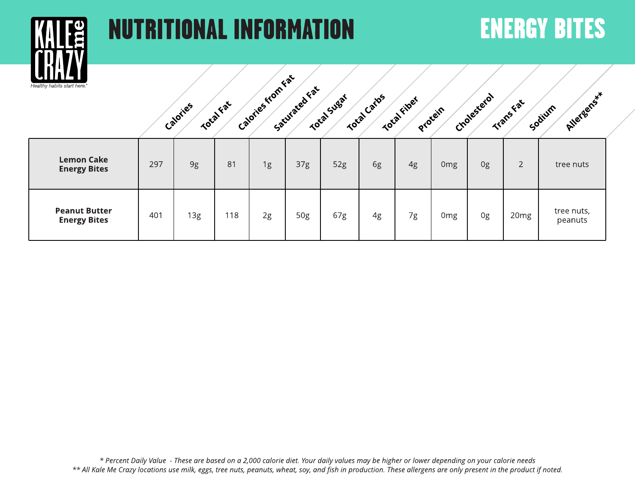

## NUTRITIONALINFORMATION ENERGYBITES



| <b>Lemon Cake</b><br><b>Energy Bites</b>    | 297 | 9g  | 81  | 1g | 37g | 52g | 6g | 4g | 0mg | 0g | $\overline{2}$   | tree nuts             |
|---------------------------------------------|-----|-----|-----|----|-----|-----|----|----|-----|----|------------------|-----------------------|
| <b>Peanut Butter</b><br><b>Energy Bites</b> | 401 | 13g | 118 | 2g | 50g | 67g | 4g | 7g | 0mg | 0g | 20 <sub>mg</sub> | tree nuts,<br>peanuts |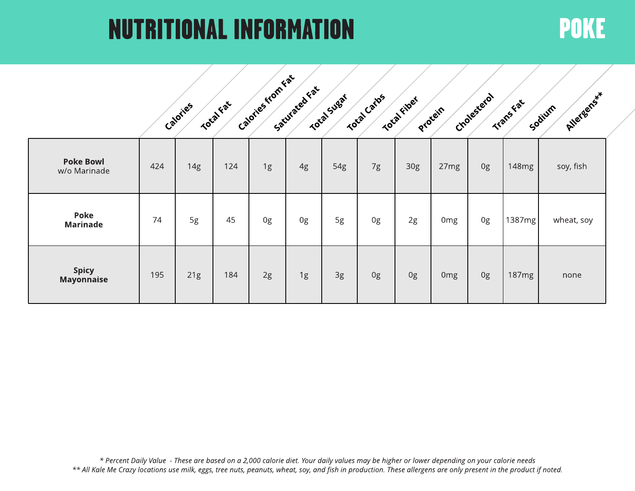## NUTRITIONALINFORMATION POKE

|                                   |     | Calories | Total Fat | Calories from Fat | Saturated Fat | Total Sugar | Total Carbs | Total riber     | Procein | Cholesterol | Transfeat         | Allergenss*<br>Sodium |
|-----------------------------------|-----|----------|-----------|-------------------|---------------|-------------|-------------|-----------------|---------|-------------|-------------------|-----------------------|
| <b>Poke Bowl</b><br>w/o Marinade  | 424 | 14g      | 124       | 1g                | 4g            | 54g         | 7g          | 30 <sub>g</sub> | 27mg    | 0g          | 148mg             | soy, fish             |
| Poke<br><b>Marinade</b>           | 74  | 5g       | 45        | 0g                | 0g            | 5g          | 0g          | 2g              | Omg     | 0g          | 1387mg            | wheat, soy            |
| <b>Spicy</b><br><b>Mayonnaise</b> | 195 | 21g      | 184       | 2g                | 1g            | 3g          | 0g          | 0g              | Omg     | 0g          | 187 <sub>mg</sub> | none                  |